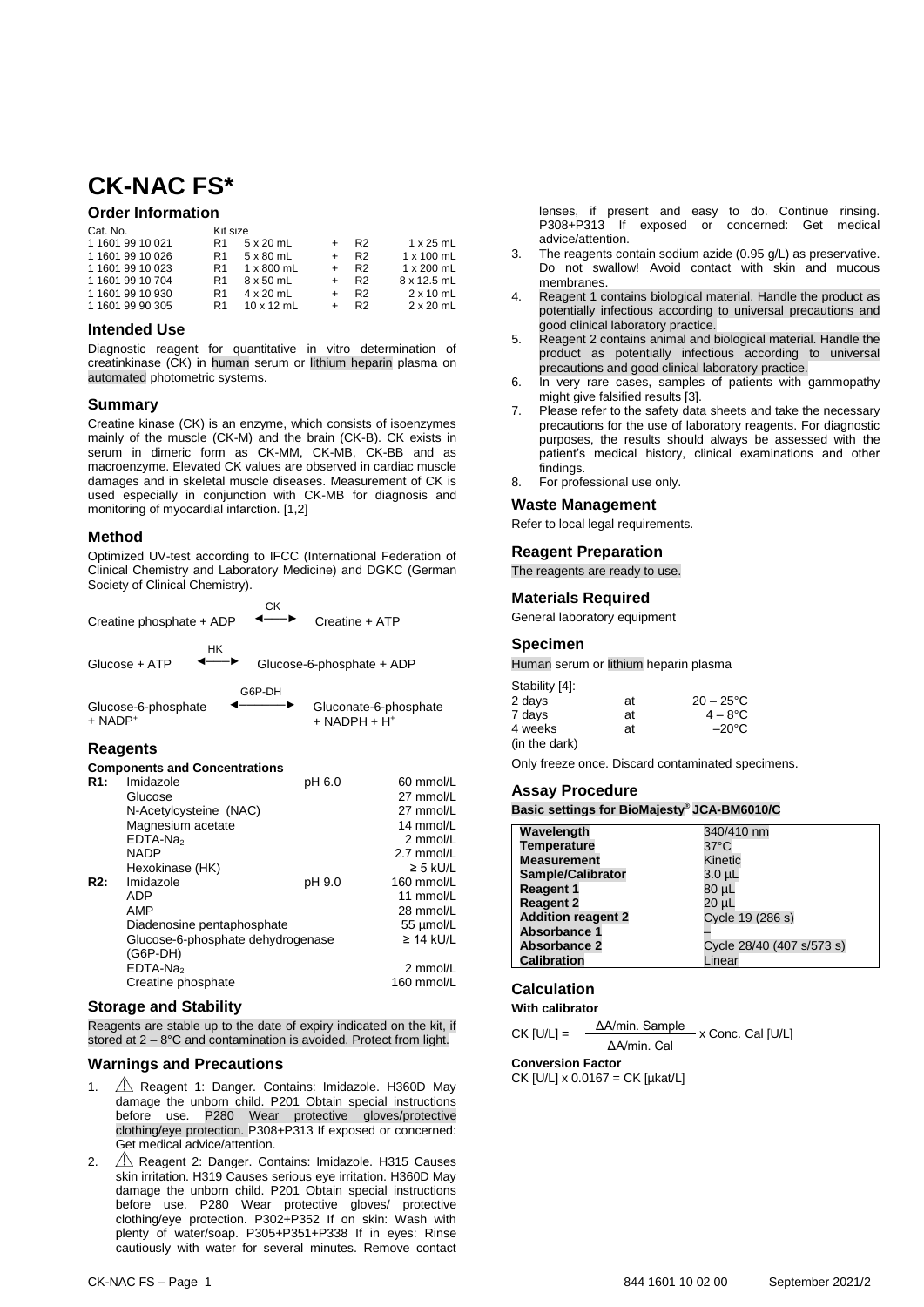# **CK-NAC FS\***

# **Order Information**

| R1 | $5 \times 20$ mL  |           | R <sub>2</sub> | $1 \times 25$ mL  |
|----|-------------------|-----------|----------------|-------------------|
| R1 | $5 \times 80$ mL  |           | R <sub>2</sub> | $1 \times 100$ mL |
| R1 | $1 \times 800$ mL |           | R <sub>2</sub> | $1 \times 200$ mL |
| R1 | $8 \times 50$ mL  |           | R <sub>2</sub> | 8 x 12.5 mL       |
| R1 | $4 \times 20$ mL  | $\ddot{}$ | R <sub>2</sub> | $2 \times 10$ mL  |
| R1 | $10 \times 12$ mL | ÷         | R <sub>2</sub> | $2 \times 20$ mL  |
|    |                   | Kit size  |                |                   |

#### **Intended Use**

Diagnostic reagent for quantitative in vitro determination of creatinkinase (CK) in human serum or lithium heparin plasma on automated photometric systems.

## **Summary**

Creatine kinase (CK) is an enzyme, which consists of isoenzymes mainly of the muscle (CK-M) and the brain (CK-B). CK exists in serum in dimeric form as CK-MM, CK-MB, CK-BB and as macroenzyme. Elevated CK values are observed in cardiac muscle damages and in skeletal muscle diseases. Measurement of CK is used especially in conjunction with CK-MB for diagnosis and monitoring of myocardial infarction. [1,2]

## **Method**

Optimized UV-test according to IFCC (International Federation of Clinical Chemistry and Laboratory Medicine) and DGKC (German Society of Clinical Chemistry).

|                          | CК                    |                |
|--------------------------|-----------------------|----------------|
| Creatine phosphate + ADP | $\longleftrightarrow$ | Creatine + ATP |

Glucose + ATP

◄───► Glucose-6-phosphate + ADP

HK

Glucose-6-phosphate + NADP<sup>+</sup> G6P-DH Gluconate-6-phosphate  $+$  NADPH  $+$  H<sup>+</sup>

# **Reagents**

#### **Components and Concentrations**

| R1: | Imidazole                         | pH 6.0 | 60 mmol/L      |
|-----|-----------------------------------|--------|----------------|
|     | Glucose                           |        | 27 mmol/L      |
|     | N-Acetylcysteine (NAC)            |        | 27 mmol/L      |
|     | Magnesium acetate                 |        | 14 mmol/L      |
|     | EDTA-Na <sub>2</sub>              |        | 2 mmol/L       |
|     | <b>NADP</b>                       |        | 2.7 mmol/L     |
|     | Hexokinase (HK)                   |        | $\geq 5$ kU/L  |
| R2: | Imidazole                         | pH 9.0 | 160 mmol/L     |
|     | ADP                               |        | 11 mmol/L      |
|     | AMP                               |        | 28 mmol/L      |
|     | Diadenosine pentaphosphate        |        | 55 µmol/L      |
|     | Glucose-6-phosphate dehydrogenase |        | $\geq$ 14 kU/L |
|     | (G6P-DH)                          |        |                |
|     | $EDTA-Na2$                        |        | 2 mmol/L       |
|     | Creatine phosphate                |        | 160 mmol/L     |
|     |                                   |        |                |

## **Storage and Stability**

Reagents are stable up to the date of expiry indicated on the kit, if stored at 2 – 8°C and contamination is avoided. Protect from light.

## **Warnings and Precautions**

- 1.  $\sqrt{1}$  Reagent 1: Danger. Contains: Imidazole. H360D May damage the unborn child. P201 Obtain special instructions before use. P280 Wear protective gloves/protective clothing/eye protection. P308+P313 If exposed or concerned: Get medical advice/attention.
- 2.  $\sqrt{!}$  Reagent 2: Danger. Contains: Imidazole. H315 Causes skin irritation. H319 Causes serious eye irritation. H360D May damage the unborn child. P201 Obtain special instructions before use. P280 Wear protective gloves/ protective clothing/eye protection. P302+P352 If on skin: Wash with plenty of water/soap. P305+P351+P338 If in eyes: Rinse cautiously with water for several minutes. Remove contact

lenses, if present and easy to do. Continue rinsing. P308+P313 If exposed or concerned: Get medical advice/attention.

- 3. The reagents contain sodium azide (0.95 g/L) as preservative. Do not swallow! Avoid contact with skin and mucous membranes.
- 4. Reagent 1 contains biological material. Handle the product as potentially infectious according to universal precautions and good clinical laboratory practice.
- 5. Reagent 2 contains animal and biological material. Handle the product as potentially infectious according to universal precautions and good clinical laboratory practice.
- 6. In very rare cases, samples of patients with gammopathy might give falsified results [3].
- 7. Please refer to the safety data sheets and take the necessary precautions for the use of laboratory reagents. For diagnostic purposes, the results should always be assessed with the patient's medical history, clinical examinations and other findings.
- 8. For professional use only.

## **Waste Management**

Refer to local legal requirements.

## **Reagent Preparation**

The reagents are ready to use.

# **Materials Required**

General laboratory equipment

## **Specimen**

Human serum or lithium heparin plasma

| Stability [4]: |    |                     |
|----------------|----|---------------------|
| 2 days         | at | $20 - 25^{\circ}$ C |
| 7 days         | at | $4-8$ °C            |
| 4 weeks        | at | $-20^{\circ}$ C     |
| (in the dark)  |    |                     |

Only freeze once. Discard contaminated specimens.

## **Assay Procedure**

|  | Basic settings for BioMajesty® JCA-BM6010/C |
|--|---------------------------------------------|
|  |                                             |

| Wavelength                | 340/410 nm                |
|---------------------------|---------------------------|
| <b>Temperature</b>        | $37^{\circ}$ C            |
| <b>Measurement</b>        | Kinetic                   |
| <b>Sample/Calibrator</b>  | 3.0 µL                    |
| <b>Reagent 1</b>          | 80 µL                     |
| <b>Reagent 2</b>          | 20 µL                     |
| <b>Addition reagent 2</b> | Cycle 19 (286 s)          |
| <b>Absorbance 1</b>       |                           |
| <b>Absorbance 2</b>       | Cycle 28/40 (407 s/573 s) |
| <b>Calibration</b>        | Linear                    |

# **Calculation**

# **With calibrator**

 $CK [U/L] = \frac{\Delta A/min \cdot Sample}{\Delta A} \times Cone \cdot Cal [U/L]$ ΔA/min. Cal **Conversion Factor**

CK [U/L] x 0.0167 = CK [µkat/L]